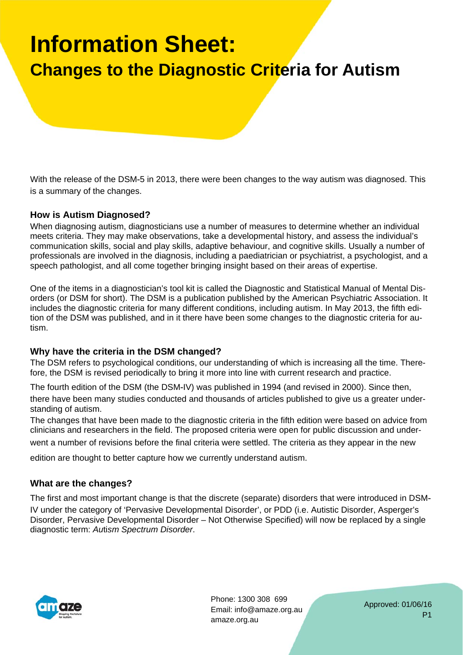# **Information Sheet:**

### **Changes to the Diagnostic Criteria for Autism**

With the release of the DSM-5 in 2013, there were been changes to the way autism was diagnosed. This is a summary of the changes.

### **How is Autism Diagnosed?**

When diagnosing autism, diagnosticians use a number of measures to determine whether an individual meets criteria. They may make observations, take a developmental history, and assess the individual's communication skills, social and play skills, adaptive behaviour, and cognitive skills. Usually a number of professionals are involved in the diagnosis, including a paediatrician or psychiatrist, a psychologist, and a speech pathologist, and all come together bringing insight based on their areas of expertise.

One of the items in a diagnostician's tool kit is called the Diagnostic and Statistical Manual of Mental Disorders (or DSM for short). The DSM is a publication published by the American Psychiatric Association. It includes the diagnostic criteria for many different conditions, including autism. In May 2013, the fifth edition of the DSM was published, and in it there have been some changes to the diagnostic criteria for autism.

### **Why have the criteria in the DSM changed?**

The DSM refers to psychological conditions, our understanding of which is increasing all the time. Therefore, the DSM is revised periodically to bring it more into line with current research and practice.

The fourth edition of the DSM (the DSM‐IV) was published in 1994 (and revised in 2000). Since then, there have been many studies conducted and thousands of articles published to give us a greater understanding of autism.

The changes that have been made to the diagnostic criteria in the fifth edition were based on advice from clinicians and researchers in the field. The proposed criteria were open for public discussion and under-

went a number of revisions before the final criteria were settled. The criteria as they appear in the new

edition are thought to better capture how we currently understand autism.

#### **What are the changes?**

The first and most important change is that the discrete (separate) disorders that were introduced in DSM‐ IV under the category of 'Pervasive Developmental Disorder', or PDD (i.e. Autistic Disorder, Asperger's Disorder, Pervasive Developmental Disorder – Not Otherwise Specified) will now be replaced by a single diagnostic term: *Au*ti*sm Spectrum Disorder*.



Phone: 1300 308 699 Email: info@amaze.org.au amaze.org.au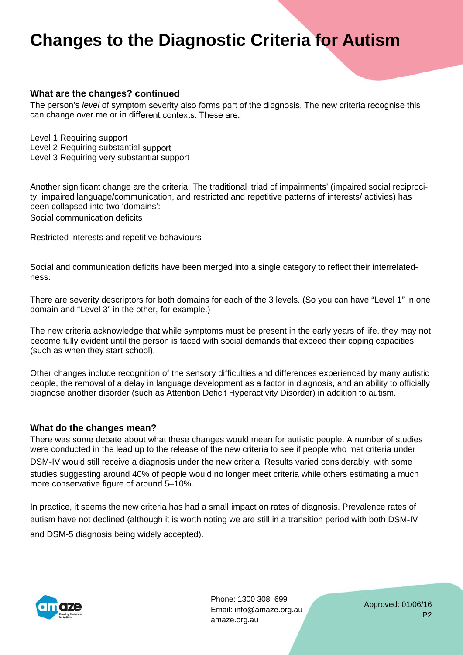# **Changes to the Diagnostic Criteria for Autism**

### **What are the changes? continued**

The person's *level* of symptom severity also forms part of the diagnosis. The new criteria recognise this can change over me or in different contexts. These are:

Level 1 Requiring support Level 2 Requiring substantial support Level 3 Requiring very substantial support

Another significant change are the criteria. The traditional 'triad of impairments' (impaired social reciprocity, impaired language/communication, and restricted and repetitive patterns of interests/ activies) has been collapsed into two 'domains':

Social communication deficits

Restricted interests and repetitive behaviours

Social and communication deficits have been merged into a single category to reflect their interrelatedness.

There are severity descriptors for both domains for each of the 3 levels. (So you can have "Level 1" in one domain and "Level 3" in the other, for example.)

The new criteria acknowledge that while symptoms must be present in the early years of life, they may not become fully evident until the person is faced with social demands that exceed their coping capacities (such as when they start school).

Other changes include recognition of the sensory difficulties and differences experienced by many autistic people, the removal of a delay in language development as a factor in diagnosis, and an ability to officially diagnose another disorder (such as Attention Deficit Hyperactivity Disorder) in addition to autism.

#### **What do the changes mean?**

There was some debate about what these changes would mean for autistic people. A number of studies were conducted in the lead up to the release of the new criteria to see if people who met criteria under DSM-IV would still receive a diagnosis under the new criteria. Results varied considerably, with some studies suggesting around 40% of people would no longer meet criteria while others estimating a much more conservative figure of around 5–10%.

In practice, it seems the new criteria has had a small impact on rates of diagnosis. Prevalence rates of autism have not declined (although it is worth noting we are still in a transition period with both DSM‐IV and DSM‐5 diagnosis being widely accepted).



Phone: 1300 308 699 Email: info@amaze.org.au amaze.org.au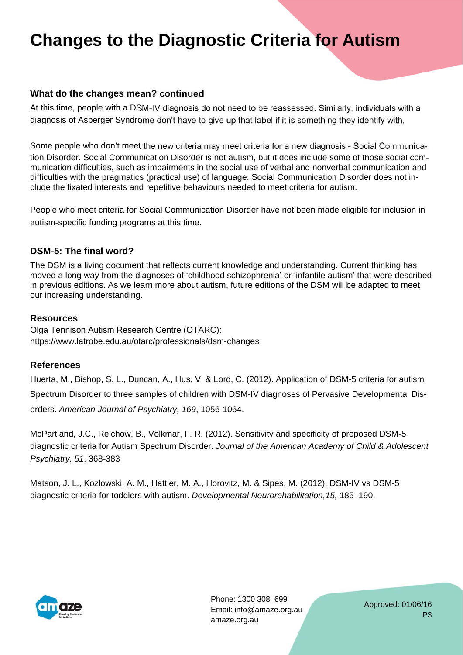# **Changes to the Diagnostic Criteria for Autism**

### **What do the changes mean? continued**

At this time, people with a DSM‐IV diagnosis do not need to be reassessed. Similarly, individuals with a diagnosis of Asperger Syndrome don't have to give up that label if it is something they identify with.

Some people who don't meet the new criteria may meet criteria for a new diagnosis ‐ Social Communication Disorder. Social Communication Disorder is not autism, but it does include some of those social communication difficulties, such as impairments in the social use of verbal and nonverbal communication and difficulties with the pragmatics (practical use) of language. Social Communication Disorder does not include the fixated interests and repetitive behaviours needed to meet criteria for autism.

People who meet criteria for Social Communication Disorder have not been made eligible for inclusion in autism‐specific funding programs at this time.

### **DSM**‐**5: The final word?**

The DSM is a living document that reflects current knowledge and understanding. Current thinking has moved a long way from the diagnoses of 'childhood schizophrenia' or 'infantile autism' that were described in previous editions. As we learn more about autism, future editions of the DSM will be adapted to meet our increasing understanding.

#### **Resources**

Olga Tennison Autism Research Centre (OTARC): https://www.latrobe.edu.au/otarc/professionals/dsm-changes

### **References**

Huerta, M., Bishop, S. L., Duncan, A., Hus, V. & Lord, C. (2012). Application of DSM‐5 criteria for autism Spectrum Disorder to three samples of children with DSM‐IV diagnoses of Pervasive Developmental Disorders. *American Journal of Psychiatry, 169*, 1056‐1064.

McPartland, J.C., Reichow, B., Volkmar, F. R. (2012). Sensitivity and specificity of proposed DSM‐5 diagnostic criteria for Autism Spectrum Disorder. *Journal of the American Academy of Child & Adolescent Psychiatry, 51*, 368‐383

Matson, J. L., Kozlowski, A. M., Hattier, M. A., Horovitz, M. & Sipes, M. (2012). DSM‐IV vs DSM‐5 diagnostic criteria for toddlers with autism. *Developmental Neurorehabilitation,15,* 185–190.



Phone: 1300 308 699 Email: info@amaze.org.au amaze.org.au